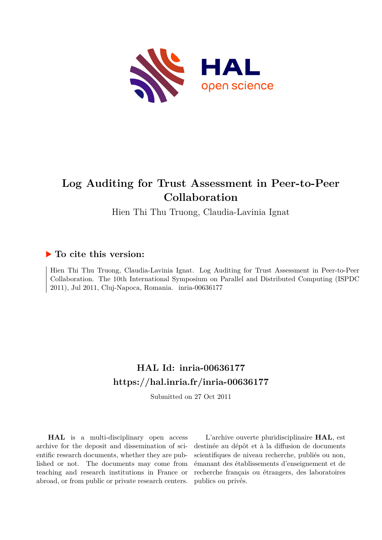

# **Log Auditing for Trust Assessment in Peer-to-Peer Collaboration**

Hien Thi Thu Truong, Claudia-Lavinia Ignat

### **To cite this version:**

Hien Thi Thu Truong, Claudia-Lavinia Ignat. Log Auditing for Trust Assessment in Peer-to-Peer Collaboration. The 10th International Symposium on Parallel and Distributed Computing (ISPDC 2011), Jul 2011, Cluj-Napoca, Romania. inria-00636177

## **HAL Id: inria-00636177 <https://hal.inria.fr/inria-00636177>**

Submitted on 27 Oct 2011

**HAL** is a multi-disciplinary open access archive for the deposit and dissemination of scientific research documents, whether they are published or not. The documents may come from teaching and research institutions in France or abroad, or from public or private research centers.

L'archive ouverte pluridisciplinaire **HAL**, est destinée au dépôt et à la diffusion de documents scientifiques de niveau recherche, publiés ou non, émanant des établissements d'enseignement et de recherche français ou étrangers, des laboratoires publics ou privés.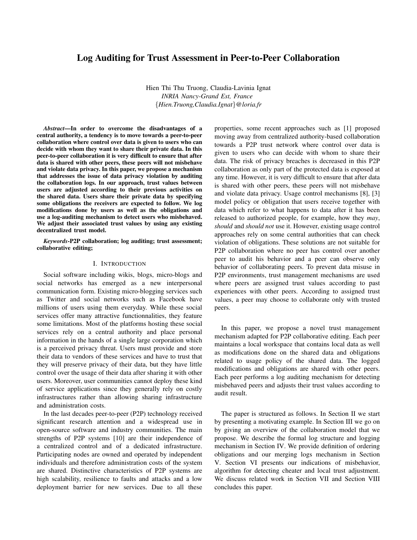### Log Auditing for Trust Assessment in Peer-to-Peer Collaboration

Hien Thi Thu Truong, Claudia-Lavinia Ignat *INRIA Nancy-Grand Est, France* {*Hien.Truong,Claudia.Ignat*}*@loria.fr*

*Abstract*—In order to overcome the disadvantages of a central authority, a tendency is to move towards a peer-to-peer collaboration where control over data is given to users who can decide with whom they want to share their private data. In this peer-to-peer collaboration it is very difficult to ensure that after data is shared with other peers, these peers will not misbehave and violate data privacy. In this paper, we propose a mechanism that addresses the issue of data privacy violation by auditing the collaboration logs. In our approach, trust values between users are adjusted according to their previous activities on the shared data. Users share their private data by specifying some obligations the receivers are expected to follow. We log modifications done by users as well as the obligations and use a log-auditing mechanism to detect users who misbehaved. We adjust their associated trust values by using any existing decentralized trust model.

*Keywords*-P2P collaboration; log auditing; trust assessment; collaborative editing;

#### I. INTRODUCTION

Social software including wikis, blogs, micro-blogs and social networks has emerged as a new interpersonal communication form. Existing micro-blogging services such as Twitter and social networks such as Facebook have millions of users using them everyday. While these social services offer many attractive functionnalities, they feature some limitations. Most of the platforms hosting these social services rely on a central authority and place personal information in the hands of a single large corporation which is a perceived privacy threat. Users must provide and store their data to vendors of these services and have to trust that they will preserve privacy of their data, but they have little control over the usage of their data after sharing it with other users. Moreover, user communities cannot deploy these kind of service applications since they generally rely on costly infrastructures rather than allowing sharing infrastructure and administration costs.

In the last decades peer-to-peer (P2P) technology received significant research attention and a widespread use in open-source software and industry communities. The main strengths of P2P systems [10] are their independence of a centralized control and of a dedicated infrastructure. Participating nodes are owned and operated by independent individuals and therefore administration costs of the system are shared. Distinctive characteristics of P2P systems are high scalability, resilience to faults and attacks and a low deployment barrier for new services. Due to all these properties, some recent approaches such as [1] proposed moving away from centralized authority-based collaboration towards a P2P trust network where control over data is given to users who can decide with whom to share their data. The risk of privacy breaches is decreased in this P2P collaboration as only part of the protected data is exposed at any time. However, it is very difficult to ensure that after data is shared with other peers, these peers will not misbehave and violate data privacy. Usage control mechanisms [8], [3] model policy or obligation that users receive together with data which refer to what happens to data after it has been released to authorized people, for example, how they *may*, *should* and *should not* use it. However, existing usage control approaches rely on some central authorities that can check violation of obligations. These solutions are not suitable for P2P collaboration where no peer has control over another peer to audit his behavior and a peer can observe only behavior of collaborating peers. To prevent data misuse in P2P environments, trust management mechanisms are used where peers are assigned trust values according to past experiences with other peers. According to assigned trust values, a peer may choose to collaborate only with trusted peers.

In this paper, we propose a novel trust management mechanism adapted for P2P collaborative editing. Each peer maintains a local workspace that contains local data as well as modifications done on the shared data and obligations related to usage policy of the shared data. The logged modifications and obligations are shared with other peers. Each peer performs a log auditing mechanism for detecting misbehaved peers and adjusts their trust values according to audit result.

The paper is structured as follows. In Section II we start by presenting a motivating example. In Section III we go on by giving an overview of the collaboration model that we propose. We describe the formal log structure and logging mechanism in Section IV. We provide definition of ordering obligations and our merging logs mechanism in Section V. Section VI presents our indications of misbehavior, algorithm for detecting cheater and local trust adjustment. We discuss related work in Section VII and Section VIII concludes this paper.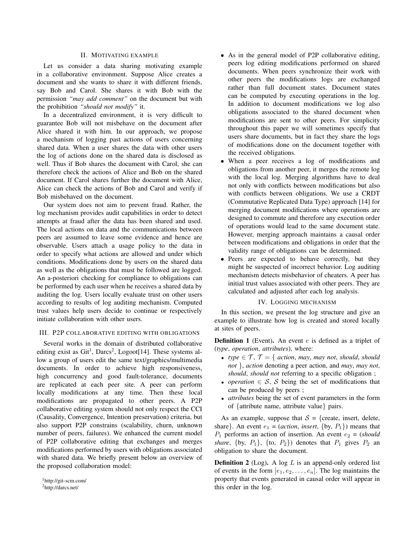#### II. MOTIVATING EXAMPLE

Let us consider a data sharing motivating example in a collaborative environment. Suppose Alice creates a document and she wants to share it with different friends, say Bob and Carol. She shares it with Bob with the permission *"may add comment"* on the document but with the prohibition *"should not modify"* it.

In a decentralized environment, it is very difficult to guarantee Bob will not misbehave on the document after Alice shared it with him. In our approach, we propose a mechanism of logging past actions of users concerning shared data. When a user shares the data with other users the log of actions done on the shared data is disclosed as well. Thus if Bob shares the document with Carol, she can therefore check the actions of Alice and Bob on the shared document. If Carol shares further the document with Alice, Alice can check the actions of Bob and Carol and verify if Bob misbehaved on the document.

Our system does not aim to prevent fraud. Rather, the log mechanism provides audit capabilities in order to detect attempts at fraud after the data has been shared and used. The local actions on data and the communications between peers are assumed to leave some evidence and hence are observable. Users attach a usage policy to the data in order to specify what actions are allowed and under which conditions. Modifications done by users on the shared data as well as the obligations that must be followed are logged. An a-posteriori checking for compliance to obligations can be performed by each user when he receives a shared data by auditing the log. Users locally evaluate trust on other users according to results of log auditing mechanism. Computed trust values help users decide to continue or respectively initiate collaboration with other users.

#### III. P2P COLLABORATIVE EDITING WITH OBLIGATIONS

Several works in the domain of distributed collaborative editing exist as  $\text{Git}^1$ , Darcs<sup>2</sup>, Logoot[14]. These systems allow a group of users edit the same text/graphics/multimedia documents. In order to achieve high responsiveness, high concurrency and good fault-tolerance, documents are replicated at each peer site. A peer can perform locally modifications at any time. Then these local modifications are propagated to other peers. A P2P collaborative editing system should not only respect the CCI (Causality, Convergence, Intention preservation) criteria, but also support P2P constrains (scalability, churn, unknown number of peers, failures). We enhanced the current model of P2P collaborative editing that exchanges and merges modifications performed by users with obligations associated with shared data. We briefly present below an overview of the proposed collaboration model:

- As in the general model of P2P collaborative editing, peers log editing modifications performed on shared documents. When peers synchronize their work with other peers the modifications logs are exchanged rather than full document states. Document states can be computed by executing operations in the log. In addition to document modifications we log also obligations associated to the shared document when modifications are sent to other peers. For simplicity throughout this paper we will sometimes specify that users share documents, but in fact they share the logs of modifications done on the document together with the received obligations.
- When a peer receives a log of modifications and obligations from another peer, it merges the remote log with the local log. Merging algorithms have to deal not only with conflicts between modifications but also with conflicts between obligations. We use a CRDT (Commutative Replicated Data Type) approach [14] for merging document modifications where operations are designed to commute and therefore any execution order of operations would lead to the same document state. However, merging approach maintains a causal order between modifications and obligations in order that the validity range of obligations can be determined.
- Peers are expected to behave correctly, but they might be suspected of incorrect behavior. Log auditing mechanism detects misbehavior of cheaters. A peer has initial trust values associated with other peers. They are calculated and adjusted after each log analysis.

#### IV. LOGGING MECHANISM

In this section, we present the log structure and give an example to illustrate how log is created and stored locally at sites of peers.

**Definition 1** (Event). An event  $e$  is defined as a triplet of (*type*, *operation*, *attributes*), where:

- *type*  $\in$   $\mathcal{T}, \mathcal{T}$  = { *action, may, may not, should, should not* }, *action* denoting a peer action, and *may*, *may not*, *should*, *should not* referring to a specific obligation ;
- *operation*  $\in$  *S*, *S* being the set of modifications that can be produced by peers ;
- *attributes* being the set of event parameters in the form of {attribute name, attribute value} pairs.

As an example, suppose that  $S = \{ \text{create}, \text{insert}, \text{delete}, \}$ share}. An event  $e_1 = (action, insert, \{by, P_1\})$  means that  $P_1$  performs an action of insertion. An event  $e_2 = (should$ *share*,  $\{by, P_1\}$ ,  $\{to, P_2\}$  denotes that  $P_1$  gives  $P_2$  an obligation to share the document.

**Definition 2** (Log). A log  $L$  is an append-only ordered list of events in the form  $[e_1, e_2, \ldots, e_n]$ . The log maintains the property that events generated in causal order will appear in this order in the log.

<sup>1</sup>http://git-scm.com/

<sup>2</sup>http://darcs.net/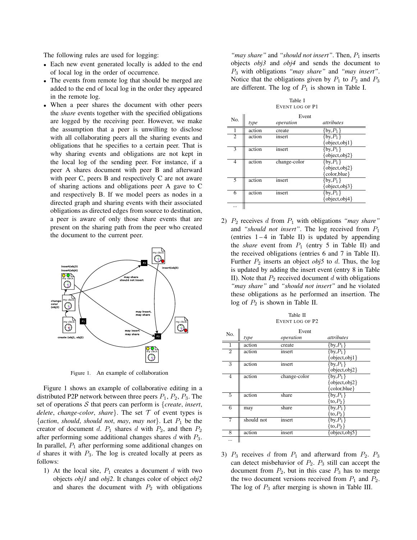The following rules are used for logging:

- Each new event generated locally is added to the end of local log in the order of occurrence.
- The events from remote log that should be merged are added to the end of local log in the order they appeared in the remote log.
- When a peer shares the document with other peers the *share* events together with the specified obligations are logged by the receiving peer. However, we make the assumption that a peer is unwilling to disclose with all collaborating peers all the sharing events and obligations that he specifies to a certain peer. That is why sharing events and obligations are not kept in the local log of the sending peer. For instance, if a peer A shares document with peer B and afterward with peer C, peers B and respectively C are not aware of sharing actions and obligations peer A gave to C and respectively B. If we model peers as nodes in a directed graph and sharing events with their associated obligations as directed edges from source to destination, a peer is aware of only those share events that are present on the sharing path from the peer who created the document to the current peer.



Figure 1. An example of collaboration

Figure 1 shows an example of collaborative editing in a distributed P2P network between three peers  $P_1$ ,  $P_2$ ,  $P_3$ . The set of operations S that peers can perform is {*create*, *insert*, *delete*, *change-color*, *share*}. The set  $T$  of event types is {*action, should, should not, may, may not*}. Let  $P_1$  be the creator of document d.  $P_1$  shares d with  $P_2$ , and then  $P_2$ after performing some additional changes shares  $d$  with  $P_3$ . In parallel,  $P_1$  after performing some additional changes on  $d$  shares it with  $P_3$ . The log is created locally at peers as follows:

1) At the local site,  $P_1$  creates a document d with two objects *obj1* and *obj2*. It changes color of object *obj2* and shares the document with  $P_2$  with obligations

*"may share"* and "*should not insert"*. Then,  $P_1$  inserts objects *obj3* and *obj4* and sends the document to P<sup>3</sup> with obligations *"may share"* and *"may insert"*. Notice that the obligations given by  $P_1$  to  $P_2$  and  $P_3$ are different. The log of  $P_1$  is shown in Table I.

| Table I         |
|-----------------|
| EVENT LOG OF P1 |

| N <sub>0</sub> |        | Event        |                     |
|----------------|--------|--------------|---------------------|
|                | type   | operation    | <i>attributes</i>   |
|                | action | create       | $by, P_1$           |
| $\mathfrak{D}$ | action | insert       | $\{by, P_1\}$       |
|                |        |              | [object, obj1]      |
| 3              | action | insert       | $\{$ by, $P_1\}$    |
|                |        |              | {object,obj2}       |
| 4              | action | change-color | $\{by P_1\}$        |
|                |        |              | {object,obj2}       |
|                |        |              | ${color, blue}$     |
| 5              | action | insert       | $\{$ by, $P_1$ $\}$ |
|                |        |              | $\{object, obj3\}$  |
| 6              | action | insert       | $\{by, P_1\}$       |
|                |        |              | {object,obj4}       |
|                |        |              |                     |

2) P<sup>2</sup> receives d from P<sup>1</sup> with obligations *"may share"* and *"should not insert"*. The log received from  $P_1$ (entries  $1-4$  in Table II) is updated by appending the *share* event from  $P_1$  (entry 5 in Table II) and the received obligations (entries 6 and 7 in Table II). Further  $P_2$  inserts an object *obj5* to d. Thus, the log is updated by adding the insert event (entry 8 in Table II). Note that  $P_2$  received document d with obligations *"may share"* and *"should not insert"* and he violated these obligations as he performed an insertion. The log of  $P_2$  is shown in Table II.

Table II EVENT LOG OF P2

| N <sub>0</sub> | Event      |              |                      |
|----------------|------------|--------------|----------------------|
|                | type       | operation    | <i>attributes</i>    |
| 1              | action     | create       | $\{by, P_1\}$        |
| $\overline{2}$ | action     | insert       | $\{by, P_1\}$        |
|                |            |              | $\{object, obj1\}$   |
| 3              | action     | insert       | $\{by, P_1\}$        |
|                |            |              | $\{object, obj2\}$   |
| 4              | action     | change-color | $\{by, P_1\}$        |
|                |            |              | $\{object, obj2\}$   |
|                |            |              | {color,blue}         |
| 5              | action     | share        | $\{by, P_1\}$        |
|                |            |              | $\{\text{to}, P_2\}$ |
| 6              | may        | share        | $\{by, P_1\}$        |
|                |            |              | $\{\text{to}, P_2\}$ |
| 7              | should not | insert       | $\{by, P_1\}$        |
|                |            |              | $\{\text{to}, P_2\}$ |
| 8              | action     | insert       | $object, obj5$ }     |
|                |            |              |                      |

3)  $P_3$  receives d from  $P_1$  and afterward from  $P_2$ .  $P_3$ can detect misbehavior of  $P_2$ .  $P_3$  still can accept the document from  $P_2$ , but in this case  $P_3$  has to merge the two document versions received from  $P_1$  and  $P_2$ . The log of  $P_3$  after merging is shown in Table III.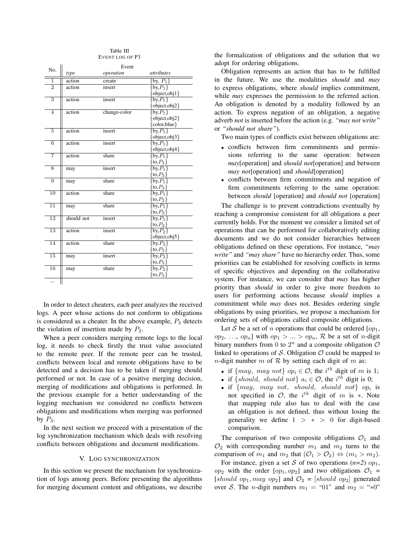| No.             |            | Event        |                          |
|-----------------|------------|--------------|--------------------------|
|                 | type       | operation    | attributes               |
| 1               | action     | create       | $\{$ by, $P_1\}$         |
| $\overline{2}$  | action     | insert       | $\{by, P_1\}$            |
|                 |            |              | object, obj1}            |
| 3               | action     | insert       | $\{by, P_1\}$            |
|                 |            |              | object, obj2}            |
| $\overline{4}$  | action     | change-color | $\overline{\{by,P_1\}}$  |
|                 |            |              | object, obj2}            |
|                 |            |              | color, blue }            |
| 5               | action     | insert       | $\overline{\{by,P_1\}}$  |
|                 |            |              | $\{object, obj3\}$       |
| $\overline{6}$  | action     | insert       | $\overline{\{by,P_1\}}$  |
|                 |            |              | object, obj4}            |
| 7               | action     | share        | $by P_1$                 |
|                 |            |              | $\{\mathrm{to}, P_3\}$   |
| 8               | may        | insert       | $\{by, P_1\}$            |
|                 |            |              | $\{\text{to}, P_3\}$     |
| 9               | may        | share        | $\overline{\{by,P_1\}}$  |
|                 |            |              | $\{\mathrm{to}, P_3\}$   |
| $\overline{10}$ | action     | share        | $\{by, P_1\}$            |
|                 |            |              | $\{\text{to}, P_2\}$     |
| $\overline{11}$ | may        | share        | by, $P_1$ }              |
|                 |            |              | to, $P_2$ }              |
| $\overline{12}$ | should not | insert       | $\{by, P_1\}$            |
|                 |            |              | $\{\mathrm{to}, P_2\}$   |
| $\overline{13}$ | action     | insert       | $\{by, P_2\}$            |
|                 |            |              | $\{object, obj5\}$       |
| 14              | action     | share        | $\overline{\{by, P_2\}}$ |
|                 |            |              | $\{\mathrm{to}, P_3\}$   |
| $\overline{15}$ | may        | insert       | $by P_2$                 |
|                 |            |              | $\{\text{to}, P_3\}$     |
| $\overline{16}$ | may        | share        | $by, P_2\}$              |
|                 |            |              | $\{\text{to}, P_3\}$     |
|                 |            |              |                          |

Table III EVENT LOG OF P3

In order to detect cheaters, each peer analyzes the received logs. A peer whose actions do not conform to obligations is considered as a cheater. In the above example,  $P_3$  detects the violation of insertion made by  $P_2$ .

When a peer considers merging remote logs to the local log, it needs to check firstly the trust value associated to the remote peer. If the remote peer can be trusted, conflicts between local and remote obligations have to be detected and a decision has to be taken if merging should performed or not. In case of a positive merging decision, merging of modifications and obligations is performed. In the previous example for a better understanding of the logging mechanism we considered no conflicts between obligations and modifications when merging was performed by  $P_3$ .

In the next section we proceed with a presentation of the log synchronization mechanism which deals with resolving conflicts between obligations and document modifications.

#### V. LOG SYNCHRONIZATION

In this section we present the mechanism for synchronization of logs among peers. Before presenting the algorithms for merging document content and obligations, we describe the formalization of obligations and the solution that we adopt for ordering obligations.

Obligation represents an action that has to be fulfilled in the future. We use the modalities *should* and *may* to express obligations, where *should* implies commitment, while *may* expresses the permission to the referred action. An obligation is denoted by a modality followed by an action. To express negation of an obligation, a negative adverb *not* is inserted before the action (e.g. *"may not write"* or *"should not share"*).

Two main types of conflicts exist between obligations are:

- conflicts between firm commitments and permissions referring to the same operation: between *may*[operation] and *should not*[operation] and between *may not*[operation] and *should*[operation]
- conflicts between firm commitments and negation of firm commitments referring to the same operation: between *should* [operation] and *should not* [operation]

The challenge is to prevent contradictions eventually by reaching a compromise consistent for all obligations a peer currently holds. For the moment we consider a limited set of operations that can be performed for collaboratively editing documents and we do not consider hierarchies between obligations defined on these operations. For instance, *"may write"* and *"may share"* have no hierarchy order. Thus, some priorities can be established for resolving conflicts in terms of specific objectives and depending on the collaborative system. For instance, we can consider that *may* has higher priority than *should* in order to give more freedom to users for performing actions because *should* implies a commitment while *may* does not. Besides ordering single obligations by using priorities, we propose a mechanism for ordering sets of obligations called composite obligations.

Let S be a set of n operations that could be ordered  $[op_1,$  $op_2$ , ...,  $op_n$ ] with  $op_1 > ... > op_n$ , R be a set of *n*-digit binary numbers from 0 to  $2^n$  and a composite obligation  $\mathcal O$ linked to operations of S. Obligation  $\mathcal O$  could be mapped to *n*-digit number m of  $R$  by setting each digit of m as:

- if  $\{may, may not\}$   $op_i \in \mathcal{O}$ , the i<sup>th</sup> digit of m is 1;
- if  $\{should, should not\}$   $a_i \in \mathcal{O}$ , the  $i^{th}$  digit is 0;
- if  $\{may, may not, should, should not\} op_i$  is not specified in  $\mathcal{O}$ , the i<sup>th</sup> digit of m is  $*$ . Note that mapping rule also has to deal with the case an obligation is not defined, thus without losing the generality we define  $1 > * > 0$  for digit-based comparison.

The comparison of two composite obligations  $\mathcal{O}_1$  and  $\mathcal{O}_2$  with corresponding number  $m_1$  and  $m_2$  turns to the comparison of  $m_1$  and  $m_2$  that  $(\mathcal{O}_1 > \mathcal{O}_2) \Leftrightarrow (m_1 > m_2)$ .

For instance, given a set S of two operations  $(n=2)$  op<sub>1</sub>,  $op_2$  with the order  $[op_1, op_2]$  and two obligations  $\mathcal{O}_1$  = [should op<sub>1</sub>, may op<sub>2</sub>] and  $\mathcal{O}_2 =$  [should op<sub>2</sub>] generated over S. The *n*-digit numbers  $m_1 = "01"$  and  $m_2 = "*0"$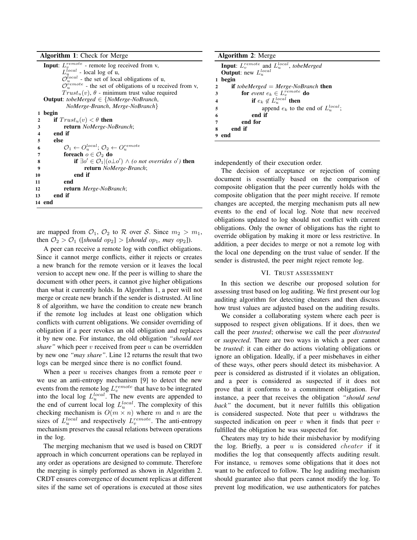Algorithm 1: Check for Merge

|                         | <b>Input</b> : $L_v^{remote}$ - remote log received from v,                              |
|-------------------------|------------------------------------------------------------------------------------------|
|                         | $L_n^{local}$ - local log of u,                                                          |
|                         | $\mathcal{O}_v^{local}$ - the set of local obligations of u,                             |
|                         | $\mathcal{O}_u^{remote}$ - the set of obligations of u received from v,                  |
|                         | $Trust_u(v), \theta$ - minimum trust value required                                      |
|                         | <b>Output:</b> tobeMerged $\in$ {NoMerge-NoBranch,                                       |
|                         | NoMerge-Branch, Merge-NoBranch                                                           |
| 1                       | begin                                                                                    |
| $\mathbf{2}$            | if $Trust_u(v) < \theta$ then                                                            |
| 3                       | return NoMerge-NoBranch;                                                                 |
| $\overline{\mathbf{4}}$ | end if                                                                                   |
| 5                       | else                                                                                     |
| 6                       | $\mathcal{O}_1 \leftarrow O_v^{local}$ ; $\mathcal{O}_2 \leftarrow O_v^{remote}$         |
| 7                       | foreach $o \in \mathcal{O}_2$ do                                                         |
| 8                       | if $\exists o' \in \mathcal{O}_1   (o \bot o') \land (o \text{ not overrides } o')$ then |
| 9                       | return NoMerge-Branch;                                                                   |
| 10                      | end if                                                                                   |
| 11                      | end                                                                                      |
| 12                      | <b>return</b> Merge-NoBranch;                                                            |
| 13                      | end if                                                                                   |
|                         | 14 end                                                                                   |

are mapped from  $\mathcal{O}_1$ ,  $\mathcal{O}_2$  to  $\mathcal R$  over S. Since  $m_2 > m_1$ , then  $\mathcal{O}_2 > \mathcal{O}_1$  ([*should op*<sub>2</sub>]) > [*should op*<sub>1</sub>*, may op*<sub>2</sub>]).

A peer can receive a remote log with conflict obligations. Since it cannot merge conflicts, either it rejects or creates a new branch for the remote version or it leaves the local version to accept new one. If the peer is willing to share the document with other peers, it cannot give higher obligations than what it currently holds. In Algorithm 1, a peer will not merge or create new branch if the sender is distrusted. At line 8 of algorithm, we have the condition to create new branch if the remote log includes at least one obligation which conflicts with current obligations. We consider overriding of obligation if a peer revokes an old obligation and replaces it by new one. For instance, the old obligation *"should not share*" which peer v received from peer u can be overridden by new one *"may share"*. Line 12 returns the result that two logs can be merged since there is no conflict found.

When a peer  $u$  receives changes from a remote peer  $v$ we use an anti-entropy mechanism [9] to detect the new events from the remote  $\log L_v^{remote}$  that have to be integrated into the local log  $L_u^{local}$ . The new events are appended to the end of current local log  $L_u^{local}$ . The complexity of this checking mechanism is  $O(m \times n)$  where m and n are the sizes of  $L_u^{local}$  and respectively  $L_v^{remote}$ . The anti-entropy mechanism preserves the causal relations between operations in the log.

The merging mechanism that we used is based on CRDT approach in which concurrent operations can be replayed in any order as operations are designed to commute. Therefore the merging is simply performed as shown in Algorithm 2. CRDT ensures convergence of document replicas at different sites if the same set of operations is executed at those sites

| <b>Algorithm 2: Merge</b>                                        |
|------------------------------------------------------------------|
| <b>Input:</b> $L_v^{remote}$ and $L_u^{local}$ , tobeMerged      |
| <b>Output:</b> new $L_n^{local}$                                 |
| begin                                                            |
| <b>if</b> tobeMerged = Merge-NoBranch <b>then</b><br>$\mathbf 2$ |
| <b>for</b> event $e_k \in L_v^{remote}$ <b>do</b><br>3           |
| if $e_k \notin L_u^{local}$ then<br>4                            |
| append $e_k$ to the end of $L_n^{local}$ ;<br>5                  |
| end if<br>6                                                      |
| end for<br>7                                                     |
| end if<br>8                                                      |
| end                                                              |

independently of their execution order.

The decision of acceptance or rejection of coming document is essentially based on the comparison of composite obligation that the peer currently holds with the composite obligation that the peer might receive. If remote changes are accepted, the merging mechanism puts all new events to the end of local log. Note that new received obligations updated to log should not conflict with current obligations. Only the owner of obligations has the right to override obligation by making it more or less restrictive. In addition, a peer decides to merge or not a remote log with the local one depending on the trust value of sender. If the sender is distrusted, the peer might reject remote log.

#### VI. TRUST ASSESSMENT

In this section we describe our proposed solution for assessing trust based on log auditing. We first present our log auditing algorithm for detecting cheaters and then discuss how trust values are adjusted based on the auditing results.

We consider a collaborating system where each peer is supposed to respect given obligations. If it does, then we call the peer *trusted*; otherwise we call the peer *distrusted* or *suspected*. There are two ways in which a peer cannot be *trusted*: it can either do actions violating obligations or ignore an obligation. Ideally, if a peer misbehaves in either of these ways, other peers should detect its misbehavior. A peer is considered as distrusted if it violates an obligation, and a peer is considered as suspected if it does not prove that it conforms to a commitment obligation. For instance, a peer that receives the obligation *"should send back"* the document, but it never fulfills this obligation is considered suspected. Note that peer  $u$  withdraws the suspected indication on peer  $v$  when it finds that peer  $v$ fulfilled the obligation he was suspected for.

Cheaters may try to hide their misbehavior by modifying the log. Briefly, a peer  $u$  is considered *cheater* if it modifies the log that consequently affects auditing result. For instance, u removes some obligations that it does not want to be enforced to follow. The log auditing mechanism should guarantee also that peers cannot modify the log. To prevent log modification, we use authenticators for patches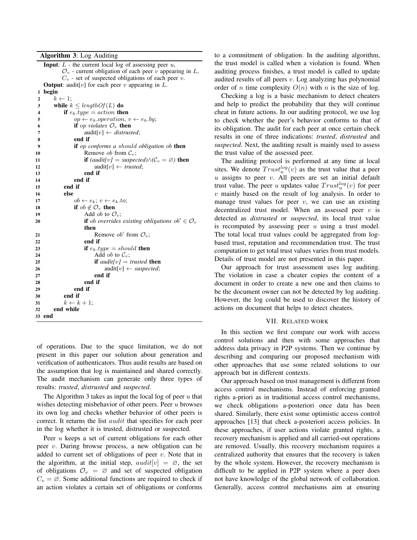Algorithm 3: Log Auditing

**Input:**  $L$  - the current local log of assessing peer  $u$ ,  $\mathcal{O}_v$  - current obligation of each peer v appearing in L,  $C_v$  - set of suspected obligations of each peer v. **Output:** audit[v] for each peer v appearing in  $L$ . 1 begin 2  $k \leftarrow 1$ ; 3 while  $k \leq lengthOf(L)$  do 4 if  $e_k.type = action$  then 5  $op \leftarrow e_k.openation, v \leftarrow e_k-by;$ 6 **if** op violates  $\mathcal{O}_v$  then 7 audit $[v] \leftarrow \textit{distributed};$ 8 end if 9 if op *conforms a* should *obligation* ob then 10 Remove *ob* from  $C_v$ ; 11 **if**  $(audit[v] = suspected) \wedge (\mathcal{C}_v = \emptyset)$  then 12 **audit**[v]  $\leftarrow$  *trusted*; 13 end if 14 end if 15 end if 16 else 17  $ob \leftarrow e_k; v \leftarrow e_k \cdot to;$ 18 if  $ob \notin \mathcal{O}_v$  then 19 Add *ob* to  $\mathcal{O}_v$ ; 20 **if** *ob overrides existing obligations*  $ob' \in \mathcal{O}_v$ then 21 Remove  $ob'$  from  $\mathcal{O}_v$ ; 22 end if 23 if  $e_k.\text{type} = \text{should then}$ 24 Add *ob* to  $\mathcal{C}_v$ ; 25 if *audit[*v*]* = *trusted* then 26 **audit**[v]  $\leftarrow$  *suspected*; 27 end if 28 end if 29 end if 30 end if 31  $k \leftarrow k + 1;$ 32 end while 33 end

of operations. Due to the space limitation, we do not present in this paper our solution about generation and verification of authenticators. Thus audit results are based on the assumption that log is maintained and shared correctly. The audit mechanism can generate only three types of results: *trusted*, *distrusted* and *suspected*.

The Algorithm 3 takes as input the local log of peer  $u$  that wishes detecting misbehavior of other peers. Peer  $u$  browses its own log and checks whether behavior of other peers is correct. It returns the list audit that specifies for each peer in the log whether it is trusted, distrusted or suspected.

Peer  $u$  keeps a set of current obligations for each other peer v. During browse process, a new obligation can be added to current set of obligations of peer  $v$ . Note that in the algorithm, at the initial step,  $\alpha u \, \mathrm{d} t \, |v| = \emptyset$ , the set of obligations  $\mathcal{O}_v = \emptyset$  and set of suspected obligation  $C_v = \emptyset$ . Some additional functions are required to check if an action violates a certain set of obligations or conforms to a commitment of obligation. In the auditing algorithm, the trust model is called when a violation is found. When auditing process finishes, a trust model is called to update audited results of all peers v. Log analyzing has polynomial order of *n* time complexity  $O(n)$  with *n* is the size of log.

Checking a log is a basic mechanism to detect cheaters and help to predict the probability that they will continue cheat in future actions. In our auditing protocol, we use log to check whether the peer's behavior conforms to that of its obligation. The audit for each peer at once certain check results in one of three indications: *trusted*, *distrusted* and *suspected*. Next, the auditing result is mainly used to assess the trust value of the assessed peer.

The auditing protocol is performed at any time at local sites. We denote  $Trust_u^{log}(v)$  as the trust value that a peer  $u$  assigns to peer  $v$ . All peers are set an initial default trust value. The peer u updates value  $Trust_u^{log}(v)$  for peer  $v$  mainly based on the result of log analysis. In order to manage trust values for peer  $v$ , we can use an existing decentralized trust model. When an assessed peer  $v$  is detected as *distrusted* or *suspected*, its local trust value is recomputed by assessing peer  $u$  using a trust model. The total local trust values could be aggregated from logbased trust, reputation and recommendation trust. The trust computation to get total trust values varies from trust models. Details of trust model are not presented in this paper.

Our approach for trust assessment uses log auditing. The violation in case a cheater copies the content of a document in order to create a new one and then claims to be the document owner can not be detected by log auditing. However, the log could be used to discover the history of actions on document that helps to detect cheaters.

#### VII. RELATED WORK

In this section we first compare our work with access control solutions and then with some approaches that address data privacy in P2P systems. Then we continue by describing and comparing our proposed mechanism with other approaches that use some related solutions to our approach but in different contexts.

Our approach based on trust management is different from access control mechanisms. Instead of enforcing granted rights a-priori as in traditional access control mechanisms, we check obligations a-posteriori once data has been shared. Similarly, there exist some optimistic access control approaches [13] that check a-posteriori access policies. In these approaches, if user actions violate granted rights, a recovery mechanism is applied and all carried-out operations are removed. Usually, this recovery mechanism requires a centralized authority that ensures that the recovery is taken by the whole system. However, the recovery mechanism is difficult to be applied in P2P system where a peer does not have knowledge of the global network of collaboration. Generally, access control mechanisms aim at ensuring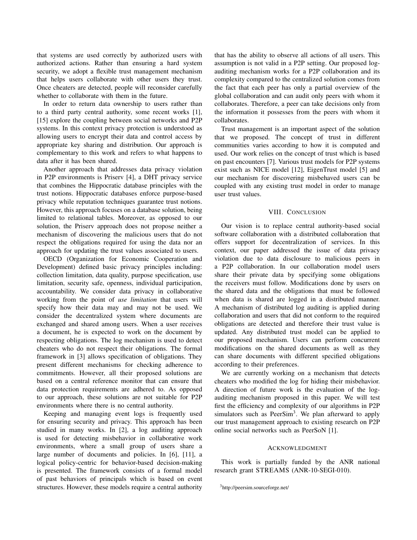that systems are used correctly by authorized users with authorized actions. Rather than ensuring a hard system security, we adopt a flexible trust management mechanism that helps users collaborate with other users they trust. Once cheaters are detected, people will reconsider carefully whether to collaborate with them in the future.

In order to return data ownership to users rather than to a third party central authority, some recent works [1], [15] explore the coupling between social networks and P2P systems. In this context privacy protection is understood as allowing users to encrypt their data and control access by appropriate key sharing and distribution. Our approach is complementary to this work and refers to what happens to data after it has been shared.

Another approach that addresses data privacy violation in P2P environments is Priserv [4], a DHT privacy service that combines the Hippocratic database principles with the trust notions. Hippocratic databases enforce purpose-based privacy while reputation techniques guarantee trust notions. However, this approach focuses on a database solution, being limited to relational tables. Moreover, as opposed to our solution, the Priserv approach does not propose neither a mechanism of discovering the malicious users that do not respect the obligations required for using the data nor an approach for updating the trust values associated to users.

OECD (Organization for Economic Cooperation and Development) defined basic privacy principles including: collection limitation, data quality, purpose specification, use limitation, security safe, openness, individual participation, accountability. We consider data privacy in collaborative working from the point of *use limitation* that users will specify how their data may and may not be used. We consider the decentralized system where documents are exchanged and shared among users. When a user receives a document, he is expected to work on the document by respecting obligations. The log mechanism is used to detect cheaters who do not respect their obligations. The formal framework in [3] allows specification of obligations. They present different mechanisms for checking adherence to commitments. However, all their proposed solutions are based on a central reference monitor that can ensure that data protection requirements are adhered to. As opposed to our approach, these solutions are not suitable for P2P environments where there is no central authority.

Keeping and managing event logs is frequently used for ensuring security and privacy. This approach has been studied in many works. In [2], a log auditing approach is used for detecting misbehavior in collaborative work environments, where a small group of users share a large number of documents and policies. In [6], [11], a logical policy-centric for behavior-based decision-making is presented. The framework consists of a formal model of past behaviors of principals which is based on event structures. However, these models require a central authority that has the ability to observe all actions of all users. This assumption is not valid in a P2P setting. Our proposed logauditing mechanism works for a P2P collaboration and its complexity compared to the centralized solution comes from the fact that each peer has only a partial overview of the global collaboration and can audit only peers with whom it collaborates. Therefore, a peer can take decisions only from the information it possesses from the peers with whom it collaborates.

Trust management is an important aspect of the solution that we proposed. The concept of trust in different communities varies according to how it is computed and used. Our work relies on the concept of trust which is based on past encounters [7]. Various trust models for P2P systems exist such as NICE model [12], EigenTrust model [5] and our mechanism for discovering misbehaved users can be coupled with any existing trust model in order to manage user trust values.

#### VIII. CONCLUSION

Our vision is to replace central authority-based social software collaboration with a distributed collaboration that offers support for decentralization of services. In this context, our paper addressed the issue of data privacy violation due to data disclosure to malicious peers in a P2P collaboration. In our collaboration model users share their private data by specifying some obligations the receivers must follow. Modifications done by users on the shared data and the obligations that must be followed when data is shared are logged in a distributed manner. A mechanism of distributed log auditing is applied during collaboration and users that did not conform to the required obligations are detected and therefore their trust value is updated. Any distributed trust model can be applied to our proposed mechanism. Users can perform concurrent modifications on the shared documents as well as they can share documents with different specified obligations according to their preferences.

We are currently working on a mechanism that detects cheaters who modified the log for hiding their misbehavior. A direction of future work is the evaluation of the logauditing mechanism proposed in this paper. We will test first the efficiency and complexity of our algorithms in P2P simulators such as PeerSim<sup>3</sup>. We plan afterward to apply our trust management approach to existing research on P2P online social networks such as PeerSoN [1].

#### ACKNOWLEDGMENT

This work is partially funded by the ANR national research grant STREAMS (ANR-10-SEGI-010).

<sup>3</sup>http://peersim.sourceforge.net/